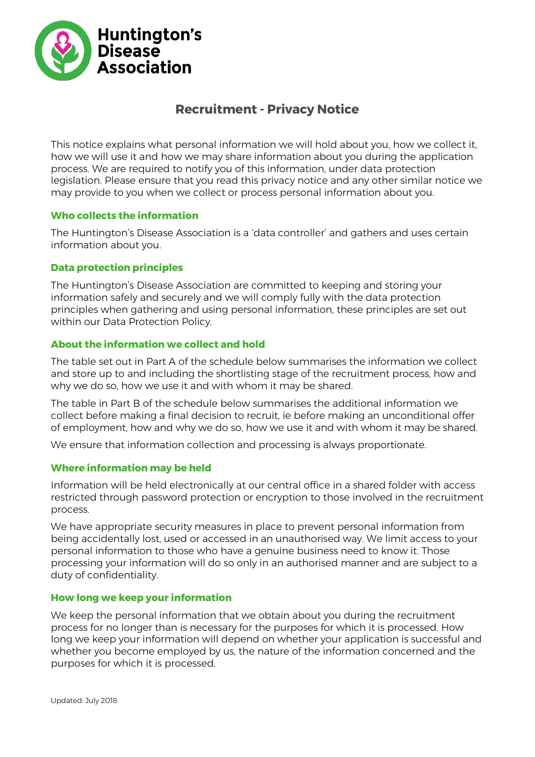

## **Recruitment - Privacy Notice**

This notice explains what personal information we will hold about you, how we collect it, how we will use it and how we may share information about you during the application process. We are required to notify you of this information, under data protection legislation. Please ensure that you read this privacy notice and any other similar notice we may provide to you when we collect or process personal information about you.

## **Who collects the information**

The Huntington's Disease Association is a 'data controller' and gathers and uses certain information about you.

#### **Data protection principles**

The Huntington's Disease Association are committed to keeping and storing your information safely and securely and we will comply fully with the data protection principles when gathering and using personal information, these principles are set out within our Data Protection Policy.

### **About the information we collect and hold**

The table set out in [Part A](#page-1-0) of the schedule below summarises the information we collect and store up to and including the shortlisting stage of the recruitment process, how and why we do so, how we use it and with whom it may be shared.

The table in [Part B](#page-2-0) of the schedule below summarises the additional information we collect before making a final decision to recruit, ie before making an unconditional offer of employment, how and why we do so, how we use it and with whom it may be shared.

We ensure that information collection and processing is always proportionate.

#### **Where information may be held**

Information will be held electronically at our central office in a shared folder with access restricted through password protection or encryption to those involved in the recruitment process.

We have appropriate security measures in place to prevent personal information from being accidentally lost, used or accessed in an unauthorised way. We limit access to your personal information to those who have a genuine business need to know it. Those processing your information will do so only in an authorised manner and are subject to a duty of confidentiality.

#### **How long we keep your information**

We keep the personal information that we obtain about you during the recruitment process for no longer than is necessary for the purposes for which it is processed. How long we keep your information will depend on whether your application is successful and whether you become employed by us, the nature of the information concerned and the purposes for which it is processed.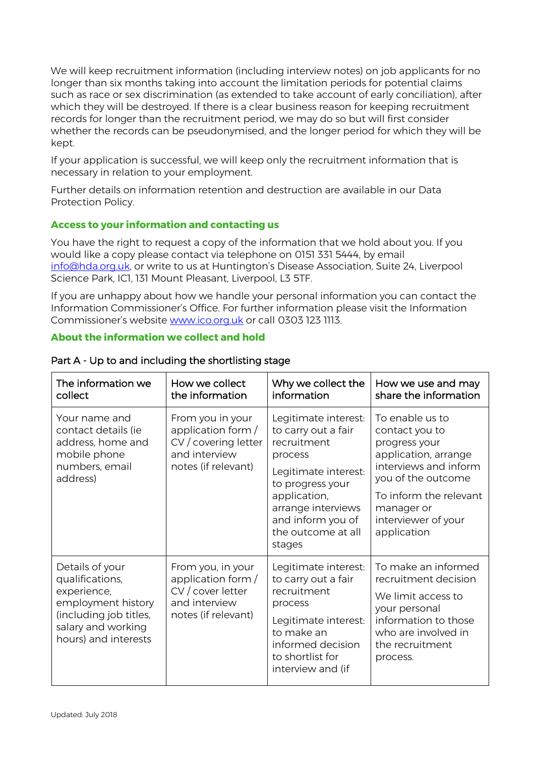We will keep recruitment information (including interview notes) on job applicants for no longer than six months taking into account the limitation periods for potential claims such as race or sex discrimination (as extended to take account of early conciliation), after which they will be destroyed. If there is a clear business reason for keeping recruitment records for longer than the recruitment period, we may do so but will first consider whether the records can be pseudonymised, and the longer period for which they will be kept.

If your application is successful, we will keep only the recruitment information that is necessary in relation to your employment.

Further details on information retention and destruction are available in our Data Protection Policy.

## **Access to your information and contacting us**

You have the right to request a copy of the information that we hold about you. If you would like a copy please contact via telephone on 0151 331 5444, by email [info@hda.org.uk,](mailto:info@hda.org.uk) or write to us at Huntington's Disease Association, Suite 24, Liverpool Science Park, IC1, 131 Mount Pleasant, Liverpool, L3 5TF.

If you are unhappy about how we handle your personal information you can contact the Information Commissioner's Office. For further information please visit the Information Commissioner's website [www.ico.org.uk](http://www.ico.org.uk/) or call 0303 123 1113.

## **About the information we collect and hold**

| The information we<br>collect                                                                                                                   | How we collect<br>the information                                                                      | Why we collect the<br>information                                                                                                                                                                            | How we use and may<br>share the information                                                                                                                                                             |
|-------------------------------------------------------------------------------------------------------------------------------------------------|--------------------------------------------------------------------------------------------------------|--------------------------------------------------------------------------------------------------------------------------------------------------------------------------------------------------------------|---------------------------------------------------------------------------------------------------------------------------------------------------------------------------------------------------------|
| Your name and<br>contact details (ie<br>address, home and<br>mobile phone<br>numbers, email<br>address)                                         | From you in your<br>application form /<br>CV / covering letter<br>and interview<br>notes (if relevant) | Legitimate interest:<br>to carry out a fair<br>recruitment<br>process<br>Legitimate interest:<br>to progress your<br>application,<br>arrange interviews<br>and inform you of<br>the outcome at all<br>stages | To enable us to<br>contact you to<br>progress your<br>application, arrange<br>interviews and inform<br>you of the outcome<br>To inform the relevant<br>manager or<br>interviewer of your<br>application |
| Details of your<br>qualifications,<br>experience,<br>employment history<br>(including job titles,<br>salary and working<br>hours) and interests | From you, in your<br>application form /<br>CV / cover letter<br>and interview<br>notes (if relevant)   | Legitimate interest:<br>to carry out a fair<br>recruitment<br>process<br>Legitimate interest:<br>to make an<br>informed decision<br>to shortlist for<br>interview and (if                                    | To make an informed<br>recruitment decision<br>We limit access to<br>your personal<br>information to those<br>who are involved in<br>the recruitment<br>process.                                        |

#### <span id="page-1-0"></span>Part A - Up to and including the shortlisting stage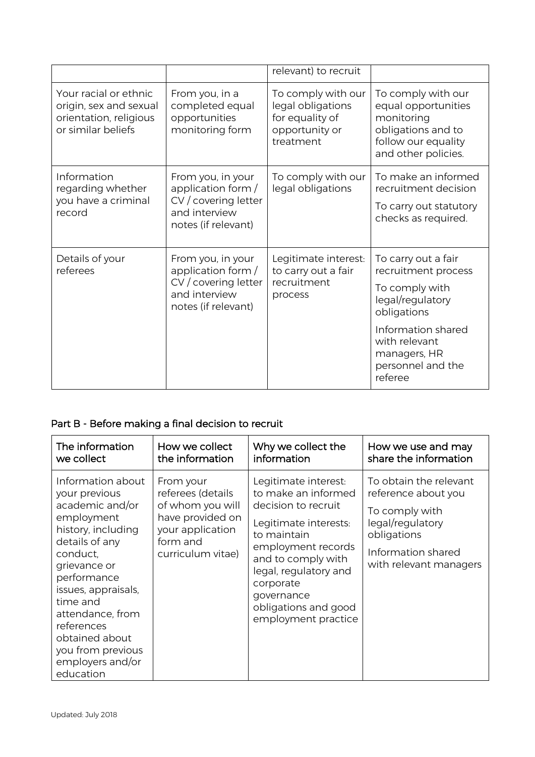|                                                                                                 |                                                                                                         | relevant) to recruit                                                                      |                                                                                                                                                                                        |
|-------------------------------------------------------------------------------------------------|---------------------------------------------------------------------------------------------------------|-------------------------------------------------------------------------------------------|----------------------------------------------------------------------------------------------------------------------------------------------------------------------------------------|
| Your racial or ethnic<br>origin, sex and sexual<br>orientation, religious<br>or similar beliefs | From you, in a<br>completed equal<br>opportunities<br>monitoring form                                   | To comply with our<br>legal obligations<br>for equality of<br>opportunity or<br>treatment | To comply with our<br>equal opportunities<br>monitoring<br>obligations and to<br>follow our equality<br>and other policies.                                                            |
| Information<br>regarding whether<br>you have a criminal<br>record                               | From you, in your<br>application form /<br>CV / covering letter<br>and interview<br>notes (if relevant) | To comply with our<br>legal obligations                                                   | To make an informed<br>recruitment decision<br>To carry out statutory<br>checks as required.                                                                                           |
| Details of your<br>referees                                                                     | From you, in your<br>application form /<br>CV / covering letter<br>and interview<br>notes (if relevant) | Legitimate interest:<br>to carry out a fair<br>recruitment<br>process                     | To carry out a fair<br>recruitment process<br>To comply with<br>legal/regulatory<br>obligations<br>Information shared<br>with relevant<br>managers, HR<br>personnel and the<br>referee |

# <span id="page-2-0"></span>Part B - Before making a final decision to recruit

| The information                                                                                                                                                                                                                                                                                     | How we collect                                                                                                              | Why we collect the                                                                                                                                                                                                                                        | How we use and may                                                                                                                                 |
|-----------------------------------------------------------------------------------------------------------------------------------------------------------------------------------------------------------------------------------------------------------------------------------------------------|-----------------------------------------------------------------------------------------------------------------------------|-----------------------------------------------------------------------------------------------------------------------------------------------------------------------------------------------------------------------------------------------------------|----------------------------------------------------------------------------------------------------------------------------------------------------|
| we collect                                                                                                                                                                                                                                                                                          | the information                                                                                                             | information                                                                                                                                                                                                                                               | share the information                                                                                                                              |
| Information about<br>your previous<br>academic and/or<br>employment<br>history, including<br>details of any<br>conduct,<br>grievance or<br>performance<br>issues, appraisals,<br>time and<br>attendance, from<br>references<br>obtained about<br>you from previous<br>employers and/or<br>education | From your<br>referees (details<br>of whom you will<br>have provided on<br>your application<br>form and<br>curriculum vitae) | Legitimate interest:<br>to make an informed<br>decision to recruit<br>Legitimate interests:<br>to maintain<br>employment records<br>and to comply with<br>legal, regulatory and<br>corporate<br>governance<br>obligations and good<br>employment practice | To obtain the relevant<br>reference about you<br>To comply with<br>legal/regulatory<br>obligations<br>Information shared<br>with relevant managers |